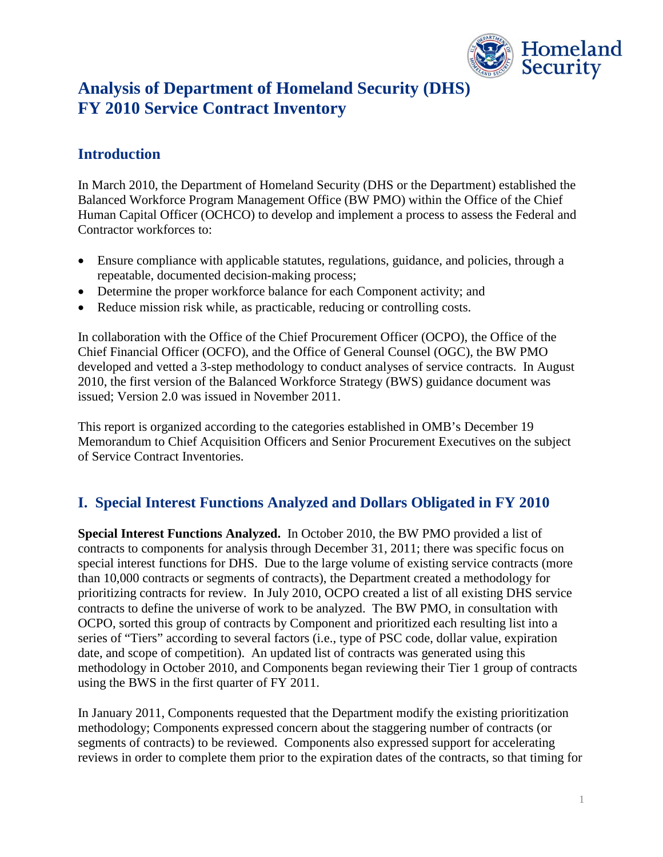

# **Analysis of Department of Homeland Security (DHS) FY 2010 Service Contract Inventory**

## **Introduction**

In March 2010, the Department of Homeland Security (DHS or the Department) established the Balanced Workforce Program Management Office (BW PMO) within the Office of the Chief Human Capital Officer (OCHCO) to develop and implement a process to assess the Federal and Contractor workforces to:

- Ensure compliance with applicable statutes, regulations, guidance, and policies, through a repeatable, documented decision-making process;
- Determine the proper workforce balance for each Component activity; and
- Reduce mission risk while, as practicable, reducing or controlling costs.

In collaboration with the Office of the Chief Procurement Officer (OCPO), the Office of the Chief Financial Officer (OCFO), and the Office of General Counsel (OGC), the BW PMO developed and vetted a 3-step methodology to conduct analyses of service contracts. In August 2010, the first version of the Balanced Workforce Strategy (BWS) guidance document was issued; Version 2.0 was issued in November 2011.

This report is organized according to the categories established in OMB's December 19 Memorandum to Chief Acquisition Officers and Senior Procurement Executives on the subject of Service Contract Inventories.

## **I. Special Interest Functions Analyzed and Dollars Obligated in FY 2010**

**Special Interest Functions Analyzed.** In October 2010, the BW PMO provided a list of contracts to components for analysis through December 31, 2011; there was specific focus on special interest functions for DHS. Due to the large volume of existing service contracts (more than 10,000 contracts or segments of contracts), the Department created a methodology for prioritizing contracts for review. In July 2010, OCPO created a list of all existing DHS service contracts to define the universe of work to be analyzed. The BW PMO, in consultation with OCPO, sorted this group of contracts by Component and prioritized each resulting list into a series of "Tiers" according to several factors (i.e., type of PSC code, dollar value, expiration date, and scope of competition). An updated list of contracts was generated using this methodology in October 2010, and Components began reviewing their Tier 1 group of contracts using the BWS in the first quarter of FY 2011.

In January 2011, Components requested that the Department modify the existing prioritization methodology; Components expressed concern about the staggering number of contracts (or segments of contracts) to be reviewed. Components also expressed support for accelerating reviews in order to complete them prior to the expiration dates of the contracts, so that timing for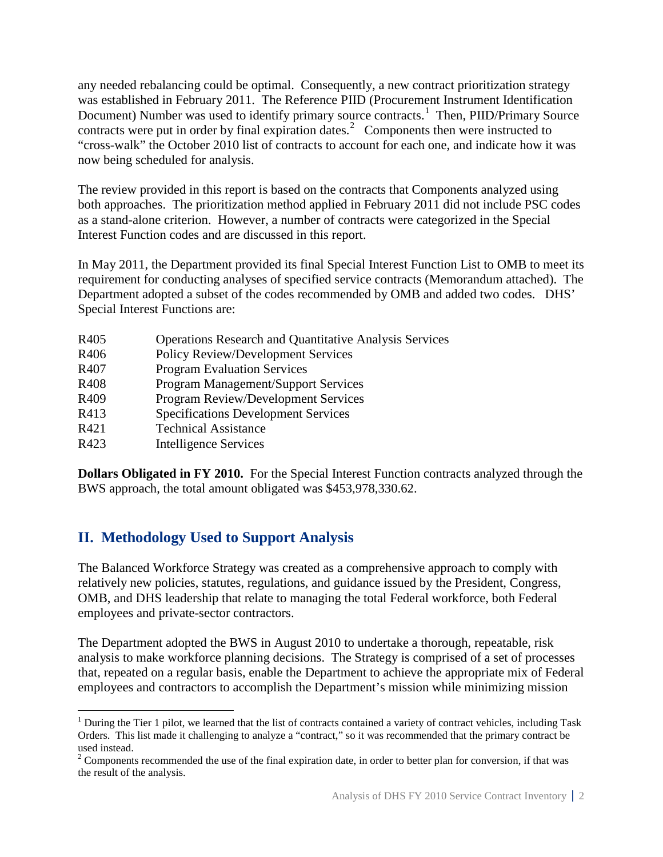any needed rebalancing could be optimal. Consequently, a new contract prioritization strategy was established in February 2011. The Reference PIID (Procurement Instrument Identification Document) Number was used to identify primary source contracts.<sup>[1](#page-1-0)</sup> Then, PIID/Primary Source contracts were put in order by final expiration dates.<sup>[2](#page-1-1)</sup> Components then were instructed to "cross-walk" the October 2010 list of contracts to account for each one, and indicate how it was now being scheduled for analysis.

The review provided in this report is based on the contracts that Components analyzed using both approaches. The prioritization method applied in February 2011 did not include PSC codes as a stand-alone criterion. However, a number of contracts were categorized in the Special Interest Function codes and are discussed in this report.

In May 2011, the Department provided its final Special Interest Function List to OMB to meet its requirement for conducting analyses of specified service contracts (Memorandum attached). The Department adopted a subset of the codes recommended by OMB and added two codes. DHS' Special Interest Functions are:

- R405 Operations Research and Quantitative Analysis Services
- R406 Policy Review/Development Services
- R407 Program Evaluation Services
- R408 Program Management/Support Services
- R409 Program Review/Development Services
- R413 Specifications Development Services
- R421 Technical Assistance
- R423 Intelligence Services

**Dollars Obligated in FY 2010.** For the Special Interest Function contracts analyzed through the BWS approach, the total amount obligated was \$453,978,330.62.

## **II. Methodology Used to Support Analysis**

The Balanced Workforce Strategy was created as a comprehensive approach to comply with relatively new policies, statutes, regulations, and guidance issued by the President, Congress, OMB, and DHS leadership that relate to managing the total Federal workforce, both Federal employees and private-sector contractors.

The Department adopted the BWS in August 2010 to undertake a thorough, repeatable, risk analysis to make workforce planning decisions. The Strategy is comprised of a set of processes that, repeated on a regular basis, enable the Department to achieve the appropriate mix of Federal employees and contractors to accomplish the Department's mission while minimizing mission

<span id="page-1-0"></span><sup>&</sup>lt;sup>1</sup> During the Tier 1 pilot, we learned that the list of contracts contained a variety of contract vehicles, including Task Orders. This list made it challenging to analyze a "contract," so it was recommended that the primary contract be used instead.

<span id="page-1-1"></span><sup>&</sup>lt;sup>2</sup> Components recommended the use of the final expiration date, in order to better plan for conversion, if that was the result of the analysis.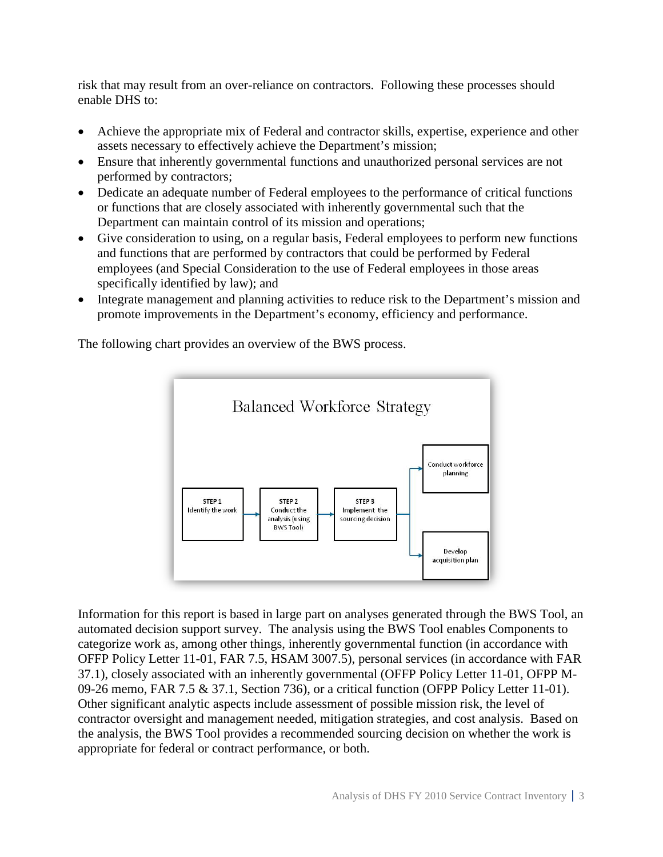risk that may result from an over-reliance on contractors. Following these processes should enable DHS to:

- Achieve the appropriate mix of Federal and contractor skills, expertise, experience and other assets necessary to effectively achieve the Department's mission;
- Ensure that inherently governmental functions and unauthorized personal services are not performed by contractors;
- Dedicate an adequate number of Federal employees to the performance of critical functions or functions that are closely associated with inherently governmental such that the Department can maintain control of its mission and operations;
- Give consideration to using, on a regular basis, Federal employees to perform new functions and functions that are performed by contractors that could be performed by Federal employees (and Special Consideration to the use of Federal employees in those areas specifically identified by law); and
- Integrate management and planning activities to reduce risk to the Department's mission and promote improvements in the Department's economy, efficiency and performance.



The following chart provides an overview of the BWS process.

Information for this report is based in large part on analyses generated through the BWS Tool, an automated decision support survey. The analysis using the BWS Tool enables Components to categorize work as, among other things, inherently governmental function (in accordance with OFFP Policy Letter 11-01, FAR 7.5, HSAM 3007.5), personal services (in accordance with FAR 37.1), closely associated with an inherently governmental (OFFP Policy Letter 11-01, OFPP M-09-26 memo, FAR 7.5 & 37.1, Section 736), or a critical function (OFPP Policy Letter 11-01). Other significant analytic aspects include assessment of possible mission risk, the level of contractor oversight and management needed, mitigation strategies, and cost analysis. Based on the analysis, the BWS Tool provides a recommended sourcing decision on whether the work is appropriate for federal or contract performance, or both.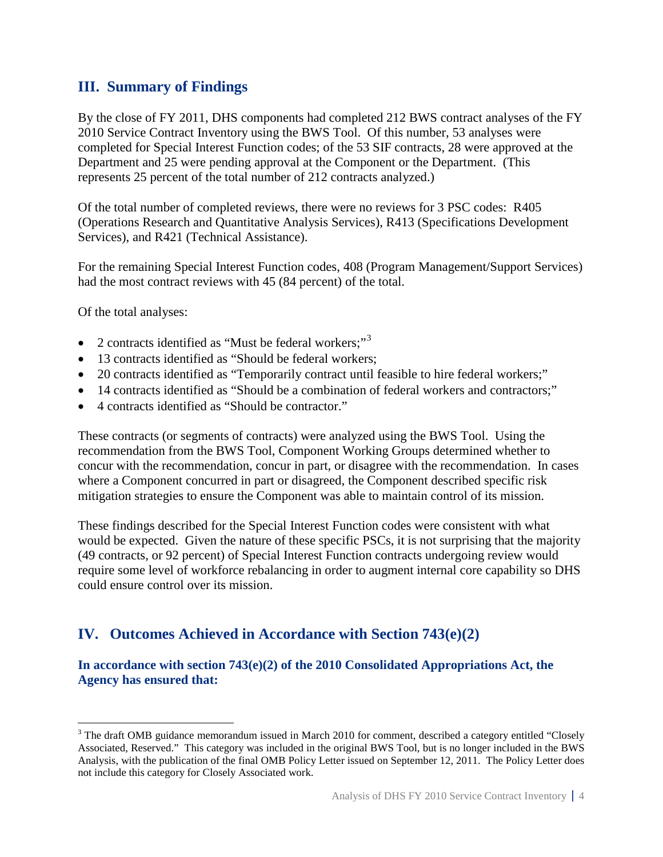## **III. Summary of Findings**

By the close of FY 2011, DHS components had completed 212 BWS contract analyses of the FY 2010 Service Contract Inventory using the BWS Tool. Of this number, 53 analyses were completed for Special Interest Function codes; of the 53 SIF contracts, 28 were approved at the Department and 25 were pending approval at the Component or the Department. (This represents 25 percent of the total number of 212 contracts analyzed.)

Of the total number of completed reviews, there were no reviews for 3 PSC codes: R405 (Operations Research and Quantitative Analysis Services), R413 (Specifications Development Services), and R421 (Technical Assistance).

For the remaining Special Interest Function codes, 408 (Program Management/Support Services) had the most contract reviews with 45 (84 percent) of the total.

Of the total analyses:

- 2 contracts identified as "Must be federal workers;"<sup>[3](#page-3-0)</sup>
- 13 contracts identified as "Should be federal workers;
- 20 contracts identified as "Temporarily contract until feasible to hire federal workers;"
- 14 contracts identified as "Should be a combination of federal workers and contractors;"
- 4 contracts identified as "Should be contractor."

These contracts (or segments of contracts) were analyzed using the BWS Tool. Using the recommendation from the BWS Tool, Component Working Groups determined whether to concur with the recommendation, concur in part, or disagree with the recommendation. In cases where a Component concurred in part or disagreed, the Component described specific risk mitigation strategies to ensure the Component was able to maintain control of its mission.

These findings described for the Special Interest Function codes were consistent with what would be expected. Given the nature of these specific PSCs, it is not surprising that the majority (49 contracts, or 92 percent) of Special Interest Function contracts undergoing review would require some level of workforce rebalancing in order to augment internal core capability so DHS could ensure control over its mission.

## **IV. Outcomes Achieved in Accordance with Section 743(e)(2)**

**In accordance with section 743(e)(2) of the 2010 Consolidated Appropriations Act, the Agency has ensured that:**

<span id="page-3-0"></span><sup>&</sup>lt;sup>3</sup> The draft OMB guidance memorandum issued in March 2010 for comment, described a category entitled "Closely Associated, Reserved." This category was included in the original BWS Tool, but is no longer included in the BWS Analysis, with the publication of the final OMB Policy Letter issued on September 12, 2011. The Policy Letter does not include this category for Closely Associated work.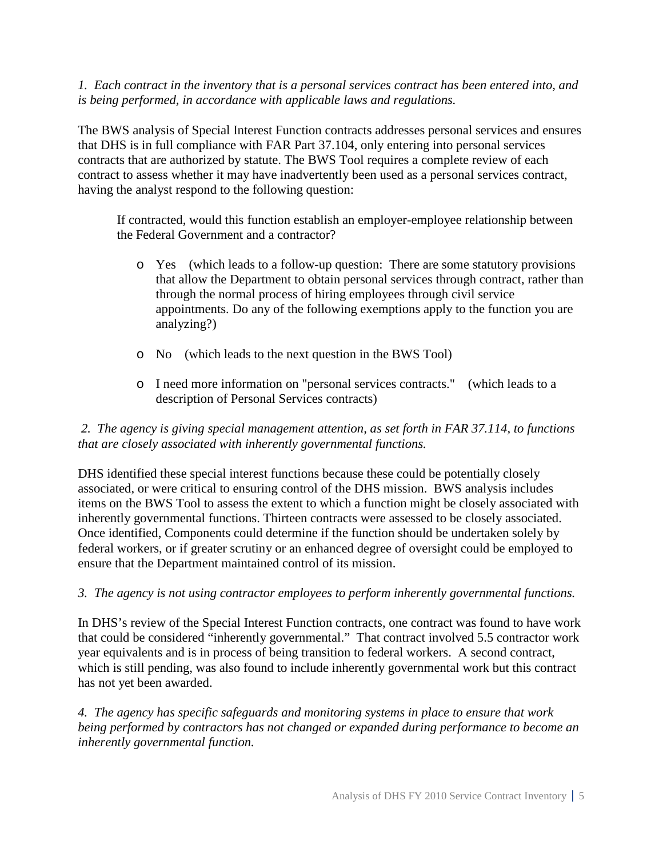*1. Each contract in the inventory that is a personal services contract has been entered into, and is being performed, in accordance with applicable laws and regulations.*

The BWS analysis of Special Interest Function contracts addresses personal services and ensures that DHS is in full compliance with FAR Part 37.104, only entering into personal services contracts that are authorized by statute. The BWS Tool requires a complete review of each contract to assess whether it may have inadvertently been used as a personal services contract, having the analyst respond to the following question:

If contracted, would this function establish an employer-employee relationship between the Federal Government and a contractor?

- o Yes (which leads to a follow-up question: There are some statutory provisions that allow the Department to obtain personal services through contract, rather than through the normal process of hiring employees through civil service appointments. Do any of the following exemptions apply to the function you are analyzing?)
- o No (which leads to the next question in the BWS Tool)
- o I need more information on "personal services contracts." (which leads to a description of Personal Services contracts)

#### *2. The agency is giving special management attention, as set forth in FAR 37.114, to functions that are closely associated with inherently governmental functions.*

DHS identified these special interest functions because these could be potentially closely associated, or were critical to ensuring control of the DHS mission. BWS analysis includes items on the BWS Tool to assess the extent to which a function might be closely associated with inherently governmental functions. Thirteen contracts were assessed to be closely associated. Once identified, Components could determine if the function should be undertaken solely by federal workers, or if greater scrutiny or an enhanced degree of oversight could be employed to ensure that the Department maintained control of its mission.

#### *3. The agency is not using contractor employees to perform inherently governmental functions.*

In DHS's review of the Special Interest Function contracts, one contract was found to have work that could be considered "inherently governmental." That contract involved 5.5 contractor work year equivalents and is in process of being transition to federal workers. A second contract, which is still pending, was also found to include inherently governmental work but this contract has not yet been awarded.

*4. The agency has specific safeguards and monitoring systems in place to ensure that work being performed by contractors has not changed or expanded during performance to become an inherently governmental function.*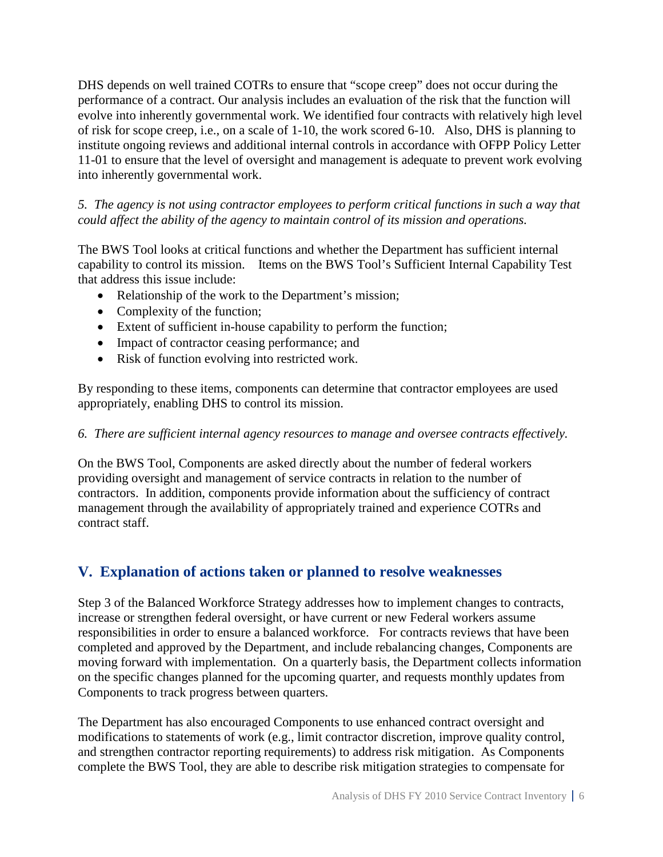DHS depends on well trained COTRs to ensure that "scope creep" does not occur during the performance of a contract. Our analysis includes an evaluation of the risk that the function will evolve into inherently governmental work. We identified four contracts with relatively high level of risk for scope creep, i.e., on a scale of 1-10, the work scored 6-10. Also, DHS is planning to institute ongoing reviews and additional internal controls in accordance with OFPP Policy Letter 11-01 to ensure that the level of oversight and management is adequate to prevent work evolving into inherently governmental work.

#### *5. The agency is not using contractor employees to perform critical functions in such a way that could affect the ability of the agency to maintain control of its mission and operations.*

The BWS Tool looks at critical functions and whether the Department has sufficient internal capability to control its mission. Items on the BWS Tool's Sufficient Internal Capability Test that address this issue include:

- Relationship of the work to the Department's mission;
- Complexity of the function;
- Extent of sufficient in-house capability to perform the function;
- Impact of contractor ceasing performance; and
- Risk of function evolving into restricted work.

By responding to these items, components can determine that contractor employees are used appropriately, enabling DHS to control its mission.

#### *6. There are sufficient internal agency resources to manage and oversee contracts effectively.*

On the BWS Tool, Components are asked directly about the number of federal workers providing oversight and management of service contracts in relation to the number of contractors. In addition, components provide information about the sufficiency of contract management through the availability of appropriately trained and experience COTRs and contract staff.

## **V. Explanation of actions taken or planned to resolve weaknesses**

Step 3 of the Balanced Workforce Strategy addresses how to implement changes to contracts, increase or strengthen federal oversight, or have current or new Federal workers assume responsibilities in order to ensure a balanced workforce. For contracts reviews that have been completed and approved by the Department, and include rebalancing changes, Components are moving forward with implementation. On a quarterly basis, the Department collects information on the specific changes planned for the upcoming quarter, and requests monthly updates from Components to track progress between quarters.

The Department has also encouraged Components to use enhanced contract oversight and modifications to statements of work (e.g., limit contractor discretion, improve quality control, and strengthen contractor reporting requirements) to address risk mitigation. As Components complete the BWS Tool, they are able to describe risk mitigation strategies to compensate for